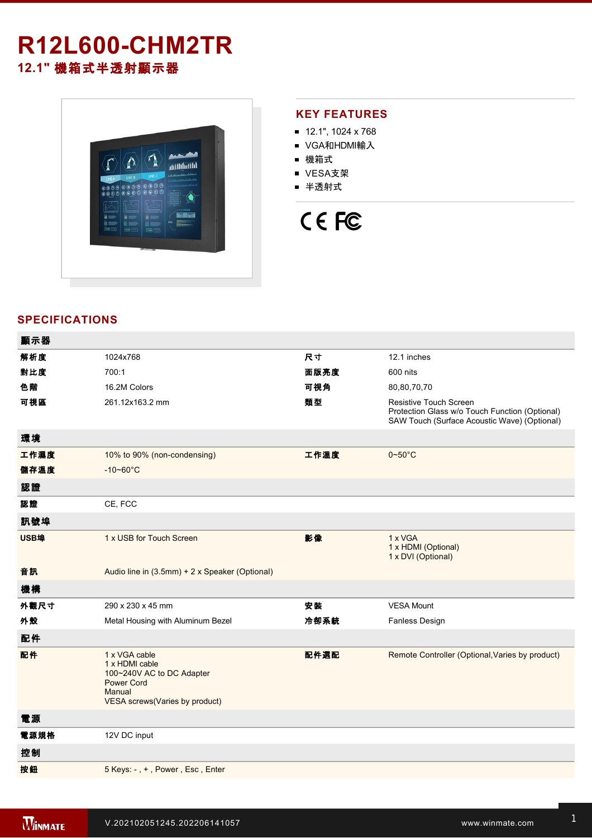# **R12L600-CHM2TR 12.1"** 機箱式半透射顯示器



# **KEY FEATURES**

- 12.1", 1024 x 768
- VGA和HDMI輸入
- 機箱式
- VESA支架
- 半透射式

# CE FC

# **SPECIFICATIONS**

| 顯示器  |                                                                                                                               |      |                                                                                                                                 |
|------|-------------------------------------------------------------------------------------------------------------------------------|------|---------------------------------------------------------------------------------------------------------------------------------|
| 解析度  | 1024x768                                                                                                                      | 尺寸   | 12.1 inches                                                                                                                     |
| 對比度  | 700:1                                                                                                                         | 面版亮度 | 600 nits                                                                                                                        |
| 色階   | 16.2M Colors                                                                                                                  | 可視角  | 80,80,70,70                                                                                                                     |
| 可視區  | 261.12x163.2 mm                                                                                                               | 類型   | <b>Resistive Touch Screen</b><br>Protection Glass w/o Touch Function (Optional)<br>SAW Touch (Surface Acoustic Wave) (Optional) |
| 環境   |                                                                                                                               |      |                                                                                                                                 |
| 工作濕度 | 10% to 90% (non-condensing)                                                                                                   | 工作溫度 | $0 - 50$ °C                                                                                                                     |
| 儲存溫度 | $-10 - 60^{\circ}$ C                                                                                                          |      |                                                                                                                                 |
| 認證   |                                                                                                                               |      |                                                                                                                                 |
| 認證   | CE, FCC                                                                                                                       |      |                                                                                                                                 |
| 訊號埠  |                                                                                                                               |      |                                                                                                                                 |
| USB埠 | 1 x USB for Touch Screen                                                                                                      | 影像   | 1 x VGA<br>1 x HDMI (Optional)<br>1 x DVI (Optional)                                                                            |
| 音訊   | Audio line in (3.5mm) + 2 x Speaker (Optional)                                                                                |      |                                                                                                                                 |
| 機構   |                                                                                                                               |      |                                                                                                                                 |
| 外觀尺寸 | 290 x 230 x 45 mm                                                                                                             | 安装   | <b>VESA Mount</b>                                                                                                               |
| 外殼   | Metal Housing with Aluminum Bezel                                                                                             | 冷卻系統 | <b>Fanless Design</b>                                                                                                           |
| 配件   |                                                                                                                               |      |                                                                                                                                 |
| 配件   | 1 x VGA cable<br>1 x HDMI cable<br>100~240V AC to DC Adapter<br><b>Power Cord</b><br>Manual<br>VESA screws(Varies by product) | 配件選配 | Remote Controller (Optional, Varies by product)                                                                                 |
| 電源   |                                                                                                                               |      |                                                                                                                                 |
| 電源規格 | 12V DC input                                                                                                                  |      |                                                                                                                                 |
| 控制   |                                                                                                                               |      |                                                                                                                                 |
| 按鈕   | 5 Keys: -, +, Power, Esc, Enter                                                                                               |      |                                                                                                                                 |
|      |                                                                                                                               |      |                                                                                                                                 |

**DIMENSIONS**  UNIT:MM